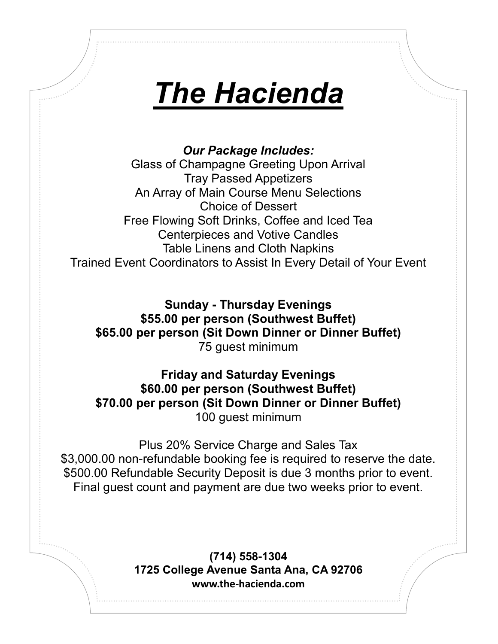# *The Hacienda*

*Our Package Includes:* Glass of Champagne Greeting Upon Arrival Tray Passed Appetizers An Array of Main Course Menu Selections Choice of Dessert Free Flowing Soft Drinks, Coffee and Iced Tea Centerpieces and Votive Candles Table Linens and Cloth Napkins Trained Event Coordinators to Assist In Every Detail of Your Event

**Sunday - Thursday Evenings \$55.00 per person (Southwest Buffet) \$65.00 per person (Sit Down Dinner or Dinner Buffet)** 75 guest minimum

**Friday and Saturday Evenings \$60.00 per person (Southwest Buffet) \$70.00 per person (Sit Down Dinner or Dinner Buffet)** 100 guest minimum

Plus 20% Service Charge and Sales Tax \$3,000.00 non-refundable booking fee is required to reserve the date. \$500.00 Refundable Security Deposit is due 3 months prior to event. Final guest count and payment are due two weeks prior to event.

> **(714) 558-1304 1725 College Avenue Santa Ana, CA 92706 www.the-hacienda.com**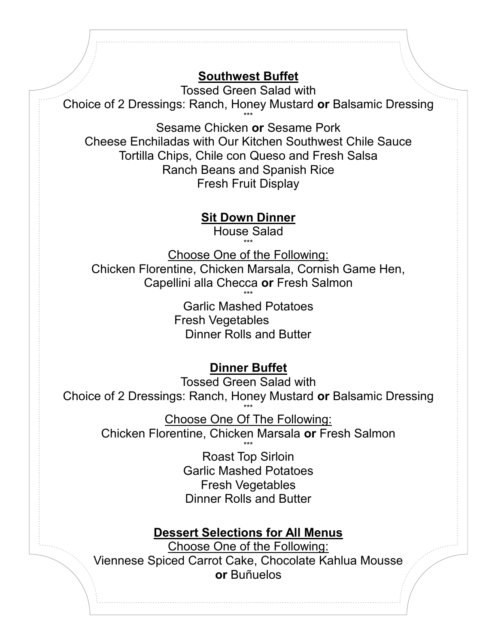### **Southwest Buffet**

Tossed Green Salad with

Choice of 2 Dressings: Ranch, Honey Mustard **or** Balsamic Dressing

\*\*\* Sesame Chicken **or** Sesame Pork Cheese Enchiladas with Our Kitchen Southwest Chile Sauce Tortilla Chips, Chile con Queso and Fresh Salsa Ranch Beans and Spanish Rice Fresh Fruit Display

**Sit Down Dinner**

House Salad \*\*\*

Choose One of the Following: Chicken Florentine, Chicken Marsala, Cornish Game Hen, Capellini alla Checca **or** Fresh Salmon \*\*\*

> Garlic Mashed Potatoes Fresh Vegetables Dinner Rolls and Butter

#### **Dinner Buffet**

Tossed Green Salad with Choice of 2 Dressings: Ranch, Honey Mustard **or** Balsamic Dressing \*\*\*

Choose One Of The Following: Chicken Florentine, Chicken Marsala **or** Fresh Salmon \*\*\*

Roast Top Sirloin Garlic Mashed Potatoes Fresh Vegetables Dinner Rolls and Butter

#### **Dessert Selections for All Menus**

Choose One of the Following: Viennese Spiced Carrot Cake, Chocolate Kahlua Mousse **or** Buñuelos